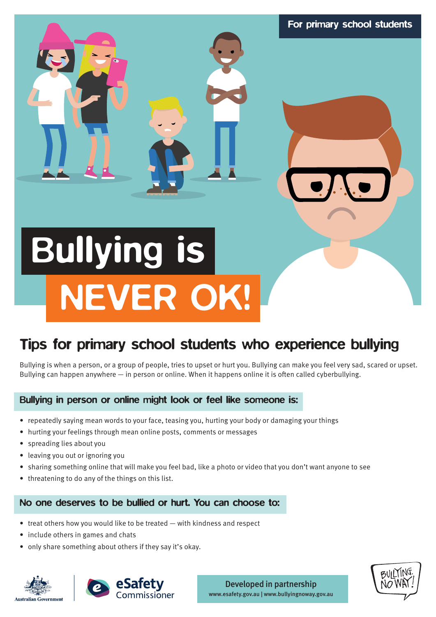# For primary school students<br>
ernts who experience bullying<br>
ents who experience bullying<br>
to thurtyou. Bullying can make you feel very sad, scared or upser<br>
thappens online it is often called syberbullying.<br>
Sustainable or Bullying is NEVER OK!

# Tips for primary school students who experience bullying

Bullying is when a person, or a group of people, tries to upset or hurt you. Bullying can make you feel very sad, scared or upset. Bullying can happen anywhere  $-$  in person or online. When it happens online it is often called cyberbullying.

# Bullying in person or online might look or feel like someone is:

- repeatedly saying mean words to your face, teasing you, hurting your body or damaging your things
- hurting your feelings through mean online posts, comments or messages
- spreading lies about you
- leaving you out or ignoring you
- sharing something online that will make you feel bad, like a photo or video that you don't want anyone to see
- threatening to do any of the things on this list.

# No one deserves to be bullied or hurt. You can choose to:

- treat others how you would like to be treated with kindness and respect
- include others in games and chats
- only share something about others if they say it's okay.